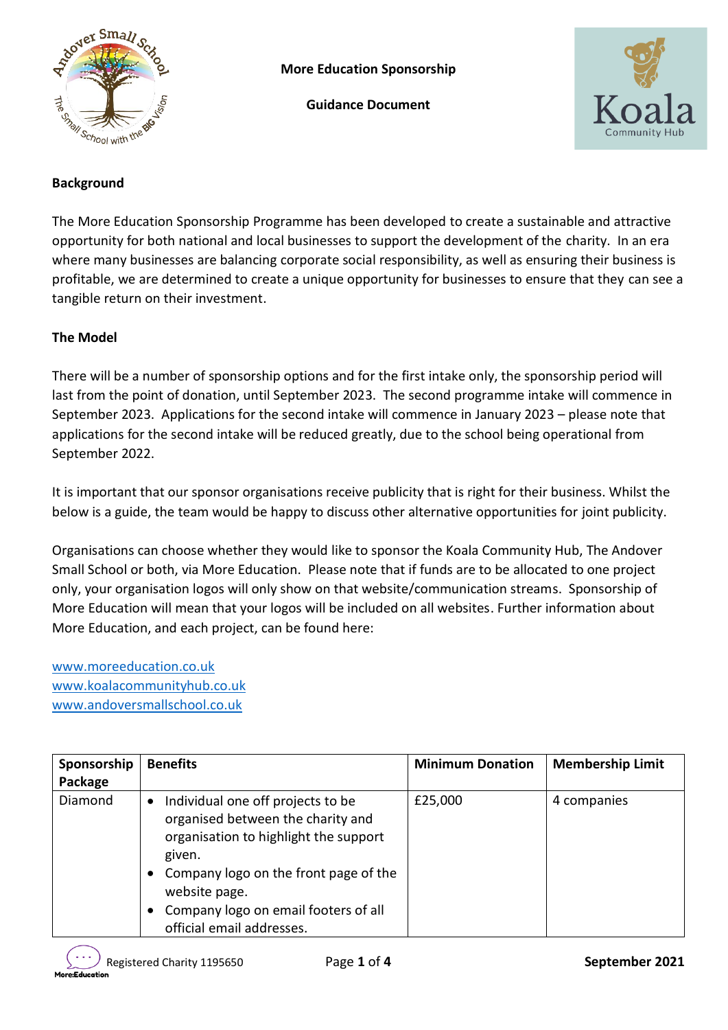

**More Education Sponsorship**

**Guidance Document**



# **Background**

The More Education Sponsorship Programme has been developed to create a sustainable and attractive opportunity for both national and local businesses to support the development of the charity. In an era where many businesses are balancing corporate social responsibility, as well as ensuring their business is profitable, we are determined to create a unique opportunity for businesses to ensure that they can see a tangible return on their investment.

#### **The Model**

There will be a number of sponsorship options and for the first intake only, the sponsorship period will last from the point of donation, until September 2023. The second programme intake will commence in September 2023. Applications for the second intake will commence in January 2023 – please note that applications for the second intake will be reduced greatly, due to the school being operational from September 2022.

It is important that our sponsor organisations receive publicity that is right for their business. Whilst the below is a guide, the team would be happy to discuss other alternative opportunities for joint publicity.

Organisations can choose whether they would like to sponsor the Koala Community Hub, The Andover Small School or both, via More Education. Please note that if funds are to be allocated to one project only, your organisation logos will only show on that website/communication streams. Sponsorship of More Education will mean that your logos will be included on all websites. Further information about More Education, and each project, can be found here:

[www.moreeducation.co.uk](http://www.moreeducation.co.uk/) [www.koalacommunityhub.co.uk](http://www.koalacommunityhub.co.uk/) [www.andoversmallschool.co.uk](http://www.andoversmallschool.co.uk/)

| Sponsorship<br>Package | <b>Benefits</b>                                                                                                                                                                                                                                                                                 | <b>Minimum Donation</b> | <b>Membership Limit</b> |
|------------------------|-------------------------------------------------------------------------------------------------------------------------------------------------------------------------------------------------------------------------------------------------------------------------------------------------|-------------------------|-------------------------|
| Diamond                | Individual one off projects to be<br>$\bullet$<br>organised between the charity and<br>organisation to highlight the support<br>given.<br>Company logo on the front page of the<br>$\bullet$<br>website page.<br>Company logo on email footers of all<br>$\bullet$<br>official email addresses. | £25,000                 | 4 companies             |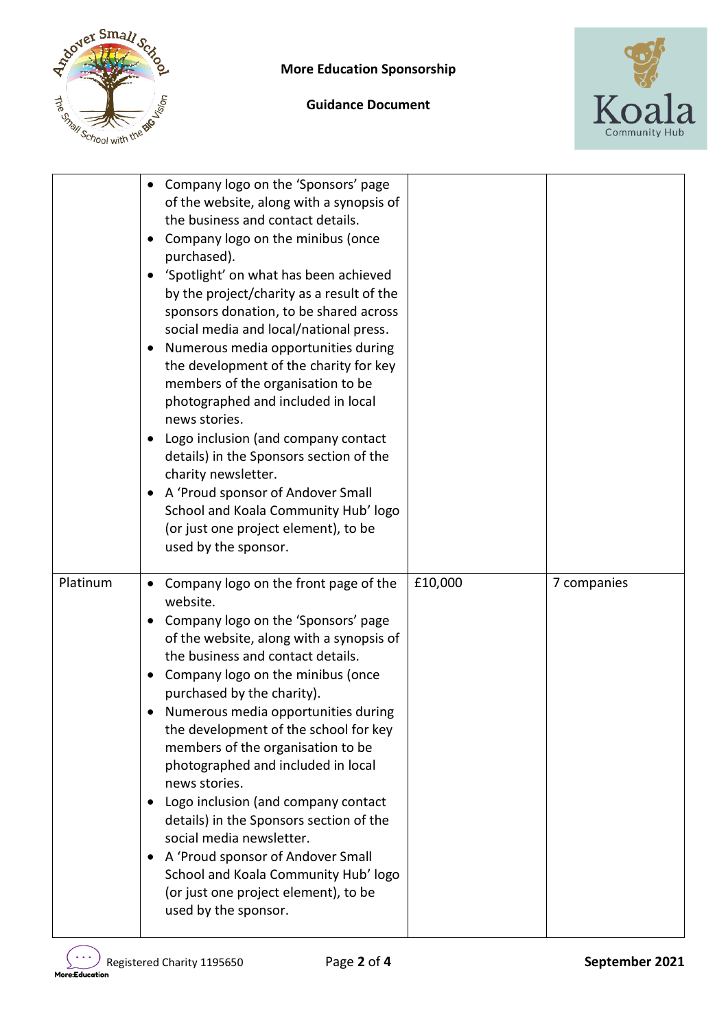

**Guidance Document**



|          | Company logo on the 'Sponsors' page<br>of the website, along with a synopsis of<br>the business and contact details.<br>Company logo on the minibus (once<br>٠<br>purchased).<br>'Spotlight' on what has been achieved<br>٠<br>by the project/charity as a result of the<br>sponsors donation, to be shared across<br>social media and local/national press.<br>Numerous media opportunities during<br>٠<br>the development of the charity for key<br>members of the organisation to be<br>photographed and included in local<br>news stories.<br>Logo inclusion (and company contact<br>٠<br>details) in the Sponsors section of the<br>charity newsletter.<br>A 'Proud sponsor of Andover Small<br>٠<br>School and Koala Community Hub' logo<br>(or just one project element), to be<br>used by the sponsor. |         |             |
|----------|----------------------------------------------------------------------------------------------------------------------------------------------------------------------------------------------------------------------------------------------------------------------------------------------------------------------------------------------------------------------------------------------------------------------------------------------------------------------------------------------------------------------------------------------------------------------------------------------------------------------------------------------------------------------------------------------------------------------------------------------------------------------------------------------------------------|---------|-------------|
| Platinum | Company logo on the front page of the<br>website.<br>Company logo on the 'Sponsors' page<br>٠<br>of the website, along with a synopsis of<br>the business and contact details.<br>Company logo on the minibus (once<br>٠<br>purchased by the charity).<br>Numerous media opportunities during<br>the development of the school for key<br>members of the organisation to be<br>photographed and included in local<br>news stories.<br>Logo inclusion (and company contact<br>٠<br>details) in the Sponsors section of the<br>social media newsletter.<br>A 'Proud sponsor of Andover Small<br>٠<br>School and Koala Community Hub' logo<br>(or just one project element), to be<br>used by the sponsor.                                                                                                        | £10,000 | 7 companies |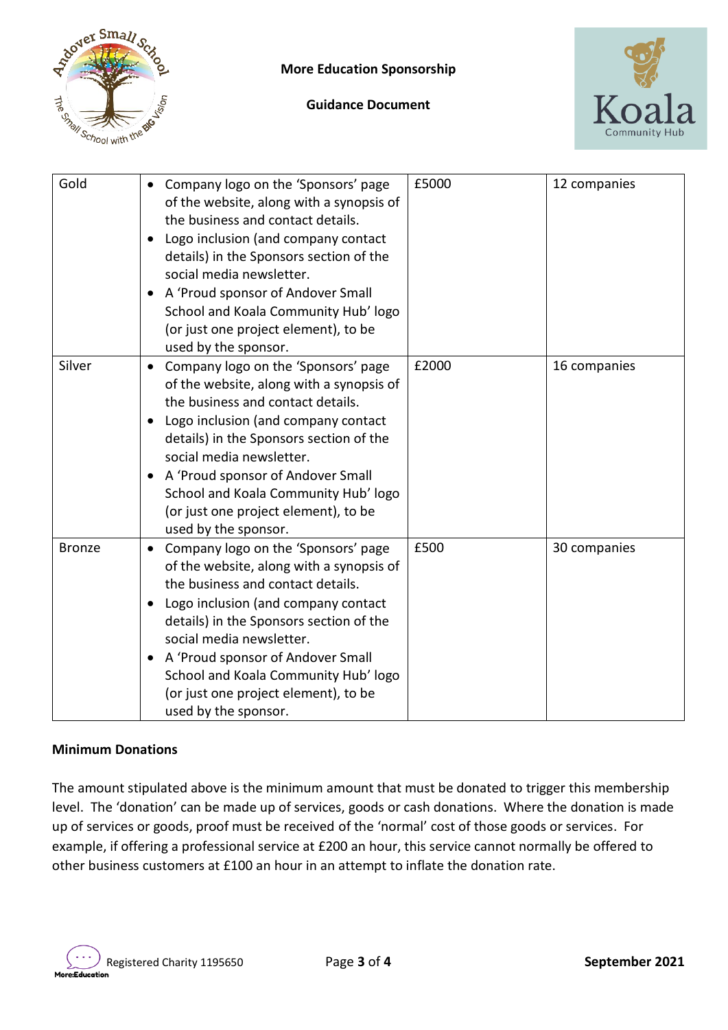

**Guidance Document**



| Gold          | Company logo on the 'Sponsors' page<br>$\bullet$<br>of the website, along with a synopsis of<br>the business and contact details.<br>Logo inclusion (and company contact<br>details) in the Sponsors section of the<br>social media newsletter.<br>A 'Proud sponsor of Andover Small<br>$\bullet$<br>School and Koala Community Hub' logo<br>(or just one project element), to be<br>used by the sponsor.      | £5000 | 12 companies |
|---------------|----------------------------------------------------------------------------------------------------------------------------------------------------------------------------------------------------------------------------------------------------------------------------------------------------------------------------------------------------------------------------------------------------------------|-------|--------------|
| Silver        | Company logo on the 'Sponsors' page<br>$\bullet$<br>of the website, along with a synopsis of<br>the business and contact details.<br>Logo inclusion (and company contact<br>details) in the Sponsors section of the<br>social media newsletter.<br>A 'Proud sponsor of Andover Small<br>$\bullet$<br>School and Koala Community Hub' logo<br>(or just one project element), to be<br>used by the sponsor.      | £2000 | 16 companies |
| <b>Bronze</b> | Company logo on the 'Sponsors' page<br>$\bullet$<br>of the website, along with a synopsis of<br>the business and contact details.<br>Logo inclusion (and company contact<br>$\bullet$<br>details) in the Sponsors section of the<br>social media newsletter.<br>A 'Proud sponsor of Andover Small<br>٠<br>School and Koala Community Hub' logo<br>(or just one project element), to be<br>used by the sponsor. | £500  | 30 companies |

## **Minimum Donations**

The amount stipulated above is the minimum amount that must be donated to trigger this membership level. The 'donation' can be made up of services, goods or cash donations. Where the donation is made up of services or goods, proof must be received of the 'normal' cost of those goods or services. For example, if offering a professional service at £200 an hour, this service cannot normally be offered to other business customers at £100 an hour in an attempt to inflate the donation rate.